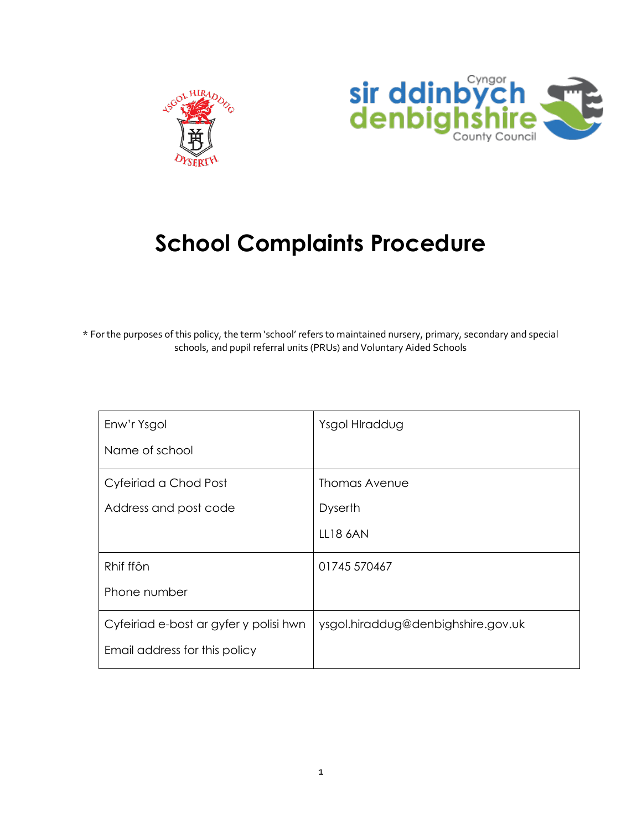



## **School Complaints Procedure**

\* For the purposes of this policy, the term 'school' refers to maintained nursery, primary, secondary and special schools, and pupil referral units (PRUs) and Voluntary Aided Schools

| Enw'r Ysgol                            | Ysgol HIraddug                     |
|----------------------------------------|------------------------------------|
| Name of school                         |                                    |
| Cyfeiriad a Chod Post                  | Thomas Avenue                      |
| Address and post code                  | <b>Dyserth</b>                     |
|                                        | LL18 6AN                           |
| Rhif ffôn                              | 01745 570467                       |
| Phone number                           |                                    |
| Cyfeiriad e-bost ar gyfer y polisi hwn | ysgol.hiraddug@denbighshire.gov.uk |
| Email address for this policy          |                                    |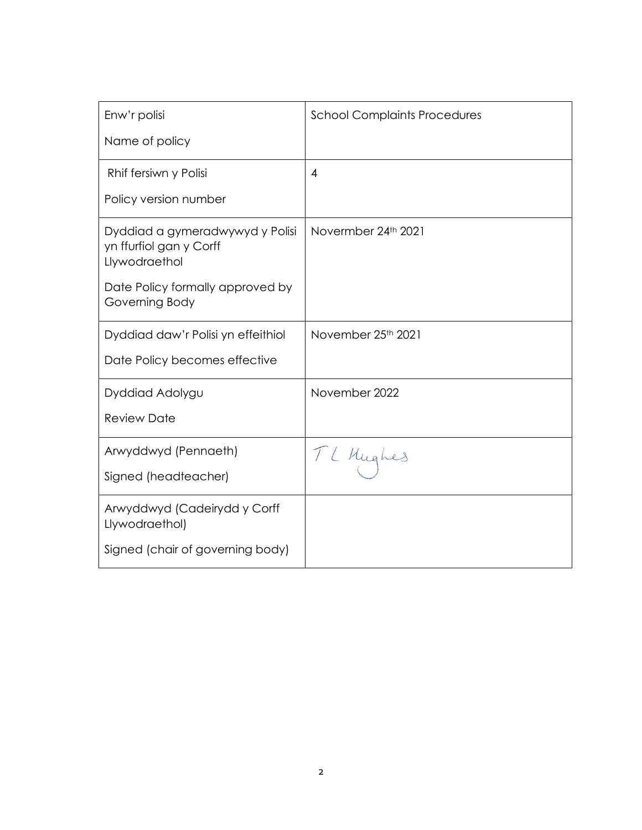| Enw'r polisi                                                                | <b>School Complaints Procedures</b> |
|-----------------------------------------------------------------------------|-------------------------------------|
| Name of policy                                                              |                                     |
| Rhif fersiwn y Polisi                                                       | $\overline{4}$                      |
| Policy version number                                                       |                                     |
| Dyddiad a gymeradwywyd y Polisi<br>yn ffurfiol gan y Corff<br>Llywodraethol | Novermber 24th 2021                 |
| Date Policy formally approved by<br>Governing Body                          |                                     |
| Dyddiad daw'r Polisi yn effeithiol                                          | November 25th 2021                  |
| Date Policy becomes effective                                               |                                     |
| Dyddiad Adolygu                                                             | November 2022                       |
| <b>Review Date</b>                                                          |                                     |
| Arwyddwyd (Pennaeth)                                                        | TL Hughes                           |
| Signed (headteacher)                                                        |                                     |
| Arwyddwyd (Cadeirydd y Corff<br>Llywodraethol)                              |                                     |
| Signed (chair of governing body)                                            |                                     |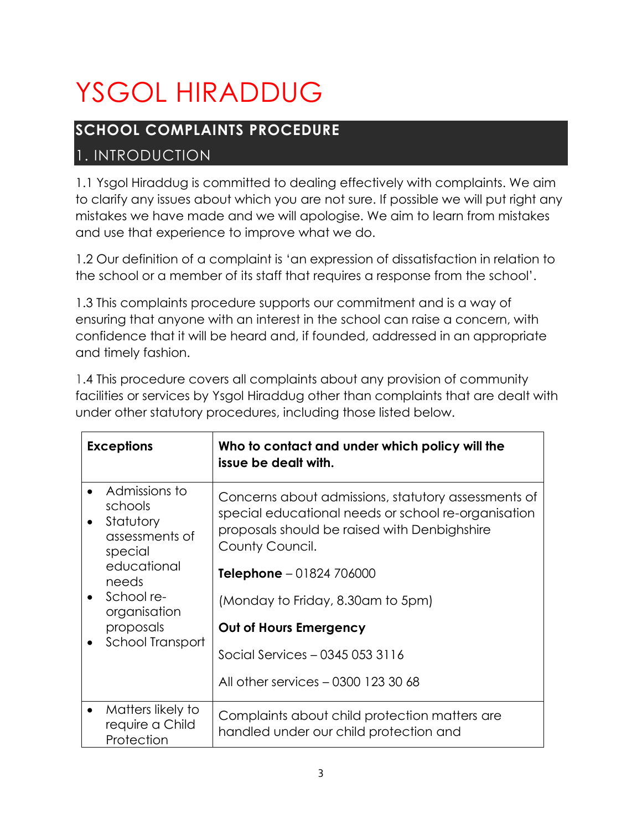# YSGOL HIRADDUG

## **SCHOOL COMPLAINTS PROCEDURE**

## 1. INTRODUCTION

1.1 Ysgol Hiraddug is committed to dealing effectively with complaints. We aim to clarify any issues about which you are not sure. If possible we will put right any mistakes we have made and we will apologise. We aim to learn from mistakes and use that experience to improve what we do.

1.2 Our definition of a complaint is 'an expression of dissatisfaction in relation to the school or a member of its staff that requires a response from the school'.

1.3 This complaints procedure supports our commitment and is a way of ensuring that anyone with an interest in the school can raise a concern, with confidence that it will be heard and, if founded, addressed in an appropriate and timely fashion.

| <b>Exceptions</b>                                                  | Who to contact and under which policy will the<br>issue be dealt with.                                                                                                        |
|--------------------------------------------------------------------|-------------------------------------------------------------------------------------------------------------------------------------------------------------------------------|
| Admissions to<br>schools<br>Statutory<br>assessments of<br>special | Concerns about admissions, statutory assessments of<br>special educational needs or school re-organisation<br>proposals should be raised with Denbighshire<br>County Council. |
| educational<br>needs                                               | <b>Telephone</b> $-01824706000$                                                                                                                                               |
| School re-<br>organisation                                         | (Monday to Friday, 8.30am to 5pm)                                                                                                                                             |
| proposals                                                          | Out of Hours Emergency                                                                                                                                                        |
| School Transport                                                   | Social Services - 0345 053 3116                                                                                                                                               |
|                                                                    | All other services - 0300 123 30 68                                                                                                                                           |
| Matters likely to<br>require a Child<br>Protection                 | Complaints about child protection matters are<br>handled under our child protection and                                                                                       |

1.4 This procedure covers all complaints about any provision of community facilities or services by Ysgol Hiraddug other than complaints that are dealt with under other statutory procedures, including those listed below.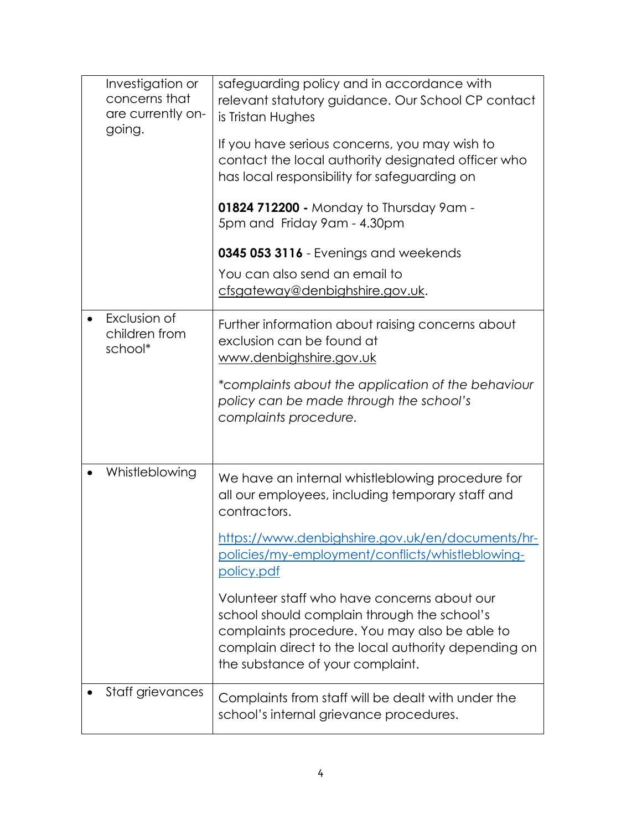| Investigation or<br>concerns that<br>are currently on-<br>going. | safeguarding policy and in accordance with<br>relevant statutory guidance. Our School CP contact<br>is Tristan Hughes<br>If you have serious concerns, you may wish to<br>contact the local authority designated officer who<br>has local responsibility for safeguarding on<br>01824 712200 - Monday to Thursday 9am -<br>5pm and Friday 9am - 4.30pm<br>0345 053 3116 - Evenings and weekends<br>You can also send an email to<br>cfsgateway@denbighshire.gov.uk.                  |
|------------------------------------------------------------------|--------------------------------------------------------------------------------------------------------------------------------------------------------------------------------------------------------------------------------------------------------------------------------------------------------------------------------------------------------------------------------------------------------------------------------------------------------------------------------------|
| Exclusion of<br>children from<br>school*                         | Further information about raising concerns about<br>exclusion can be found at<br>www.denbighshire.gov.uk<br>*complaints about the application of the behaviour<br>policy can be made through the school's<br>complaints procedure.                                                                                                                                                                                                                                                   |
| Whistleblowing                                                   | We have an internal whistleblowing procedure for<br>all our employees, including temporary staff and<br>contractors.<br>https://www.denbighshire.gov.uk/en/documents/hr-<br>policies/my-employment/conflicts/whistleblowing-<br>policy.pdf<br>Volunteer staff who have concerns about our<br>school should complain through the school's<br>complaints procedure. You may also be able to<br>complain direct to the local authority depending on<br>the substance of your complaint. |
| Staff grievances                                                 | Complaints from staff will be dealt with under the<br>school's internal grievance procedures.                                                                                                                                                                                                                                                                                                                                                                                        |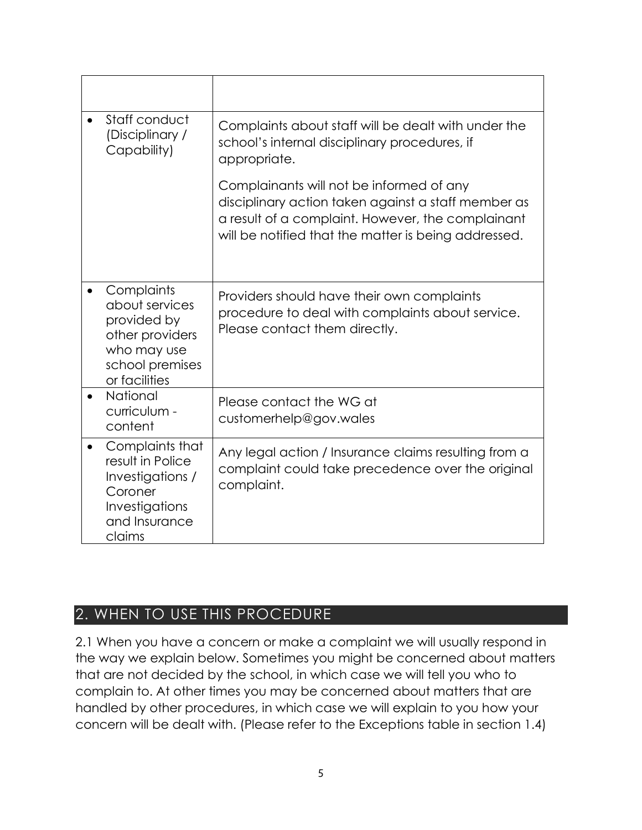| Staff conduct<br>(Disciplinary /<br>Capability)                                                                   | Complaints about staff will be dealt with under the<br>school's internal disciplinary procedures, if<br>appropriate.                                                                                         |
|-------------------------------------------------------------------------------------------------------------------|--------------------------------------------------------------------------------------------------------------------------------------------------------------------------------------------------------------|
|                                                                                                                   | Complainants will not be informed of any<br>disciplinary action taken against a staff member as<br>a result of a complaint. However, the complainant<br>will be notified that the matter is being addressed. |
| Complaints<br>about services<br>provided by<br>other providers<br>who may use<br>school premises<br>or facilities | Providers should have their own complaints<br>procedure to deal with complaints about service.<br>Please contact them directly.                                                                              |
| National<br>curriculum -<br>content                                                                               | Please contact the WG at<br>customerhelp@gov.wales                                                                                                                                                           |
| Complaints that<br>result in Police<br>Investigations /<br>Coroner<br>Investigations<br>and Insurance<br>claims   | Any legal action / Insurance claims resulting from a<br>complaint could take precedence over the original<br>complaint.                                                                                      |

## 2. WHEN TO USE THIS PROCEDURE

2.1 When you have a concern or make a complaint we will usually respond in the way we explain below. Sometimes you might be concerned about matters that are not decided by the school, in which case we will tell you who to complain to. At other times you may be concerned about matters that are handled by other procedures, in which case we will explain to you how your concern will be dealt with. (Please refer to the Exceptions table in section 1.4)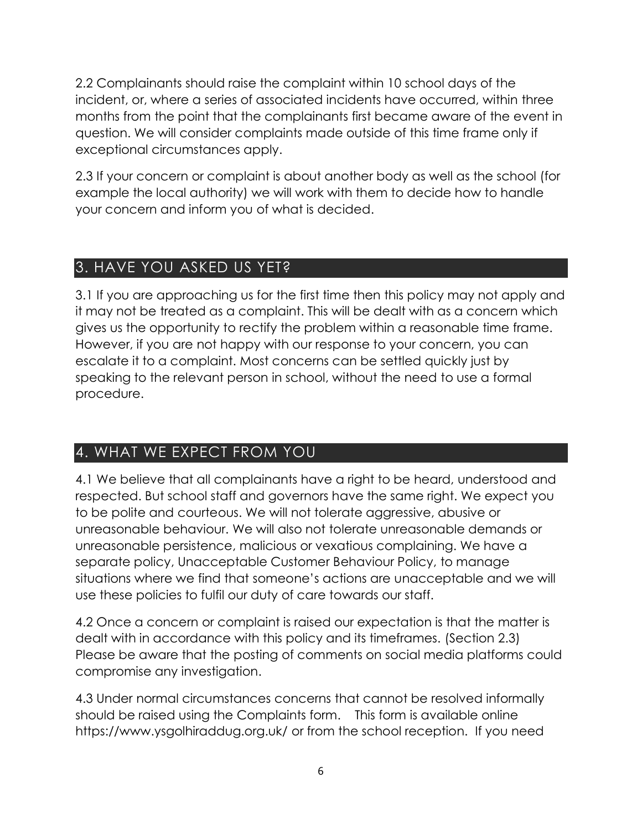2.2 Complainants should raise the complaint within 10 school days of the incident, or, where a series of associated incidents have occurred, within three months from the point that the complainants first became aware of the event in question. We will consider complaints made outside of this time frame only if exceptional circumstances apply.

2.3 If your concern or complaint is about another body as well as the school (for example the local authority) we will work with them to decide how to handle your concern and inform you of what is decided.

### 3. HAVE YOU ASKED US YET?

3.1 If you are approaching us for the first time then this policy may not apply and it may not be treated as a complaint. This will be dealt with as a concern which gives us the opportunity to rectify the problem within a reasonable time frame. However, if you are not happy with our response to your concern, you can escalate it to a complaint. Most concerns can be settled quickly just by speaking to the relevant person in school, without the need to use a formal procedure.

## 4. WHAT WE EXPECT FROM YOU

4.1 We believe that all complainants have a right to be heard, understood and respected. But school staff and governors have the same right. We expect you to be polite and courteous. We will not tolerate aggressive, abusive or unreasonable behaviour. We will also not tolerate unreasonable demands or unreasonable persistence, malicious or vexatious complaining. We have a separate policy, Unacceptable Customer Behaviour Policy, to manage situations where we find that someone's actions are unacceptable and we will use these policies to fulfil our duty of care towards our staff.

4.2 Once a concern or complaint is raised our expectation is that the matter is dealt with in accordance with this policy and its timeframes. (Section 2.3) Please be aware that the posting of comments on social media platforms could compromise any investigation.

4.3 Under normal circumstances concerns that cannot be resolved informally should be raised using the Complaints form. This form is available online https://www.ysgolhiraddug.org.uk/ or from the school reception. If you need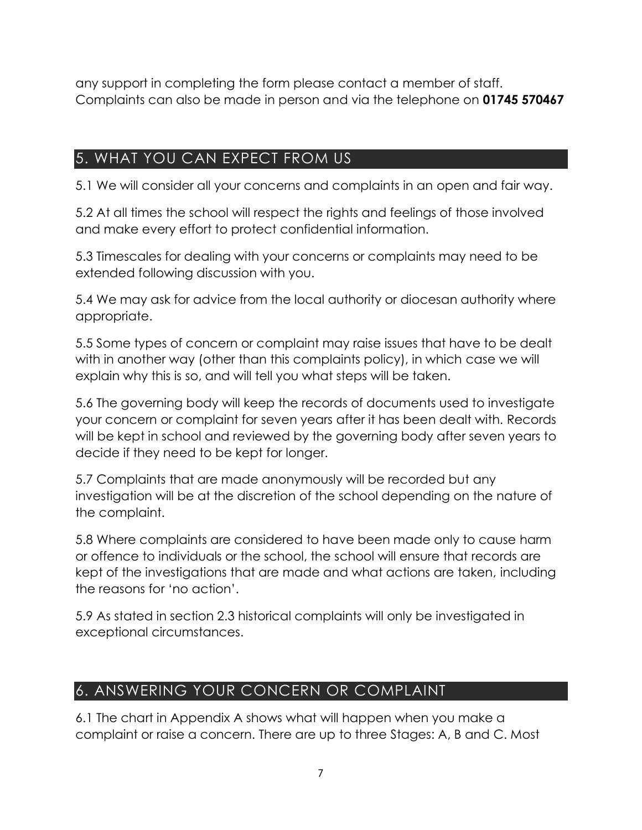any support in completing the form please contact a member of staff. Complaints can also be made in person and via the telephone on **01745 570467**

## 5. WHAT YOU CAN EXPECT FROM US

5.1 We will consider all your concerns and complaints in an open and fair way.

5.2 At all times the school will respect the rights and feelings of those involved and make every effort to protect confidential information.

5.3 Timescales for dealing with your concerns or complaints may need to be extended following discussion with you.

5.4 We may ask for advice from the local authority or diocesan authority where appropriate.

5.5 Some types of concern or complaint may raise issues that have to be dealt with in another way (other than this complaints policy), in which case we will explain why this is so, and will tell you what steps will be taken.

5.6 The governing body will keep the records of documents used to investigate your concern or complaint for seven years after it has been dealt with. Records will be kept in school and reviewed by the governing body after seven years to decide if they need to be kept for longer.

5.7 Complaints that are made anonymously will be recorded but any investigation will be at the discretion of the school depending on the nature of the complaint.

5.8 Where complaints are considered to have been made only to cause harm or offence to individuals or the school, the school will ensure that records are kept of the investigations that are made and what actions are taken, including the reasons for 'no action'.

5.9 As stated in section 2.3 historical complaints will only be investigated in exceptional circumstances.

## 6. ANSWERING YOUR CONCERN OR COMPLAINT

6.1 The chart in Appendix A shows what will happen when you make a complaint or raise a concern. There are up to three Stages: A, B and C. Most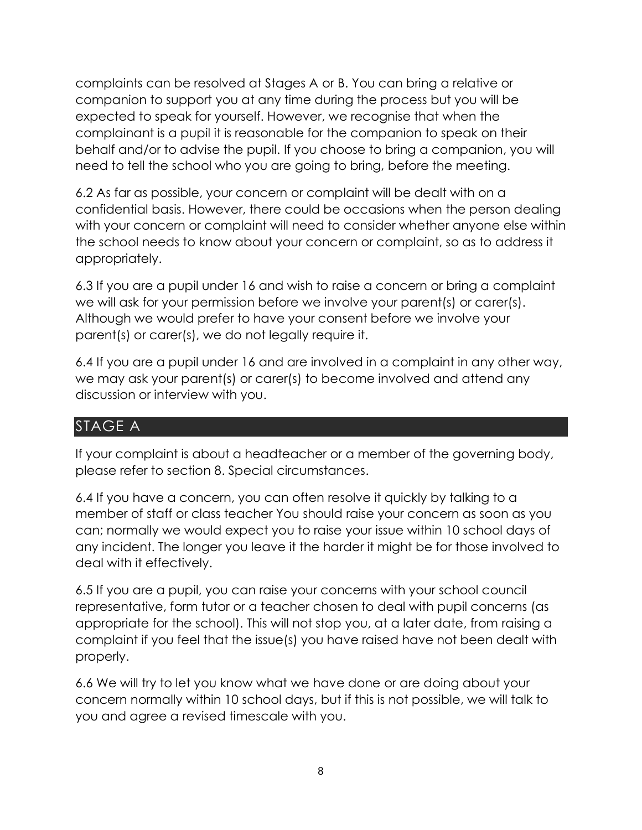complaints can be resolved at Stages A or B. You can bring a relative or companion to support you at any time during the process but you will be expected to speak for yourself. However, we recognise that when the complainant is a pupil it is reasonable for the companion to speak on their behalf and/or to advise the pupil. If you choose to bring a companion, you will need to tell the school who you are going to bring, before the meeting.

6.2 As far as possible, your concern or complaint will be dealt with on a confidential basis. However, there could be occasions when the person dealing with your concern or complaint will need to consider whether anyone else within the school needs to know about your concern or complaint, so as to address it appropriately.

6.3 If you are a pupil under 16 and wish to raise a concern or bring a complaint we will ask for your permission before we involve your parent(s) or carer(s). Although we would prefer to have your consent before we involve your parent(s) or carer(s), we do not legally require it.

6.4 If you are a pupil under 16 and are involved in a complaint in any other way, we may ask your parent(s) or carer(s) to become involved and attend any discussion or interview with you.

#### STAGE A

If your complaint is about a headteacher or a member of the governing body, please refer to section [8. Special circumstances.](#page-11-0)

6.4 If you have a concern, you can often resolve it quickly by talking to a member of staff or class teacher You should raise your concern as soon as you can; normally we would expect you to raise your issue within 10 school days of any incident. The longer you leave it the harder it might be for those involved to deal with it effectively.

6.5 If you are a pupil, you can raise your concerns with your school council representative, form tutor or a teacher chosen to deal with pupil concerns (as appropriate for the school). This will not stop you, at a later date, from raising a complaint if you feel that the issue(s) you have raised have not been dealt with properly.

6.6 We will try to let you know what we have done or are doing about your concern normally within 10 school days, but if this is not possible, we will talk to you and agree a revised timescale with you.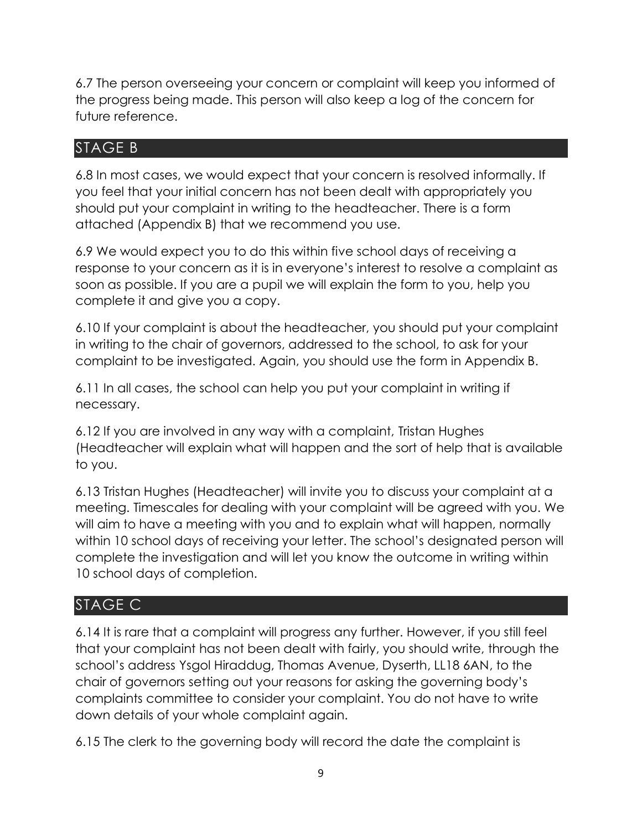6.7 The person overseeing your concern or complaint will keep you informed of the progress being made. This person will also keep a log of the concern for future reference.

#### STAGE B

6.8 In most cases, we would expect that your concern is resolved informally. If you feel that your initial concern has not been dealt with appropriately you should put your complaint in writing to the headteacher. There is a form attached (Appendix B) that we recommend you use.

6.9 We would expect you to do this within five school days of receiving a response to your concern as it is in everyone's interest to resolve a complaint as soon as possible. If you are a pupil we will explain the form to you, help you complete it and give you a copy.

6.10 If your complaint is about the headteacher, you should put your complaint in writing to the chair of governors, addressed to the school, to ask for your complaint to be investigated. Again, you should use the form in Appendix B.

6.11 In all cases, the school can help you put your complaint in writing if necessary.

6.12 If you are involved in any way with a complaint, Tristan Hughes (Headteacher will explain what will happen and the sort of help that is available to you.

6.13 Tristan Hughes (Headteacher) will invite you to discuss your complaint at a meeting. Timescales for dealing with your complaint will be agreed with you. We will aim to have a meeting with you and to explain what will happen, normally within 10 school days of receiving your letter. The school's designated person will complete the investigation and will let you know the outcome in writing within 10 school days of completion.

## STAGE C

6.14 It is rare that a complaint will progress any further. However, if you still feel that your complaint has not been dealt with fairly, you should write, through the school's address Ysgol Hiraddug, Thomas Avenue, Dyserth, LL18 6AN, to the chair of governors setting out your reasons for asking the governing body's complaints committee to consider your complaint. You do not have to write down details of your whole complaint again.

6.15 The clerk to the governing body will record the date the complaint is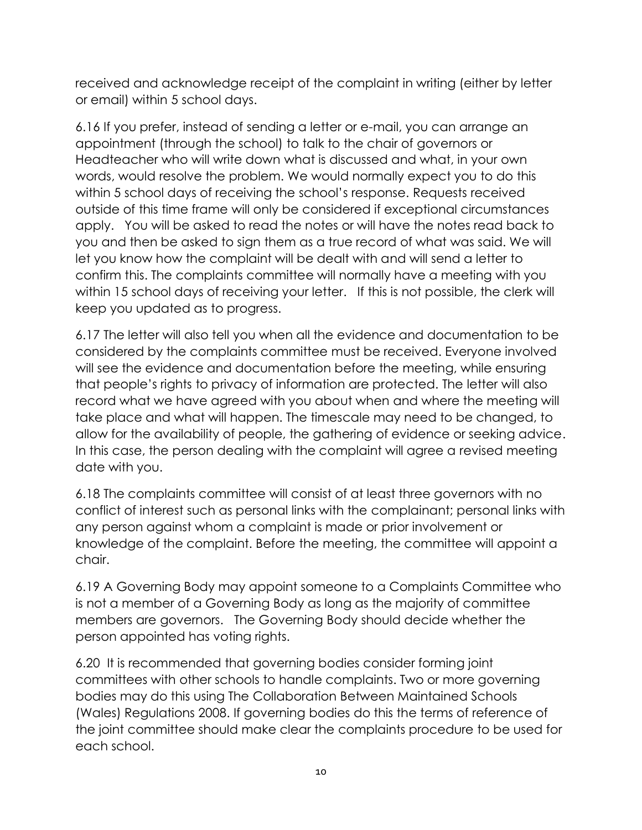received and acknowledge receipt of the complaint in writing (either by letter or email) within 5 school days.

6.16 If you prefer, instead of sending a letter or e-mail, you can arrange an appointment (through the school) to talk to the chair of governors or Headteacher who will write down what is discussed and what, in your own words, would resolve the problem. We would normally expect you to do this within 5 school days of receiving the school's response. Requests received outside of this time frame will only be considered if exceptional circumstances apply. You will be asked to read the notes or will have the notes read back to you and then be asked to sign them as a true record of what was said. We will let you know how the complaint will be dealt with and will send a letter to confirm this. The complaints committee will normally have a meeting with you within 15 school days of receiving your letter. If this is not possible, the clerk will keep you updated as to progress.

6.17 The letter will also tell you when all the evidence and documentation to be considered by the complaints committee must be received. Everyone involved will see the evidence and documentation before the meeting, while ensuring that people's rights to privacy of information are protected. The letter will also record what we have agreed with you about when and where the meeting will take place and what will happen. The timescale may need to be changed, to allow for the availability of people, the gathering of evidence or seeking advice. In this case, the person dealing with the complaint will agree a revised meeting date with you.

6.18 The complaints committee will consist of at least three governors with no conflict of interest such as personal links with the complainant; personal links with any person against whom a complaint is made or prior involvement or knowledge of the complaint. Before the meeting, the committee will appoint a chair.

6.19 A Governing Body may appoint someone to a Complaints Committee who is not a member of a Governing Body as long as the majority of committee members are governors. The Governing Body should decide whether the person appointed has voting rights.

6.20 It is recommended that governing bodies consider forming joint committees with other schools to handle complaints. Two or more governing bodies may do this using The Collaboration Between Maintained Schools (Wales) Regulations 2008. If governing bodies do this the terms of reference of the joint committee should make clear the complaints procedure to be used for each school.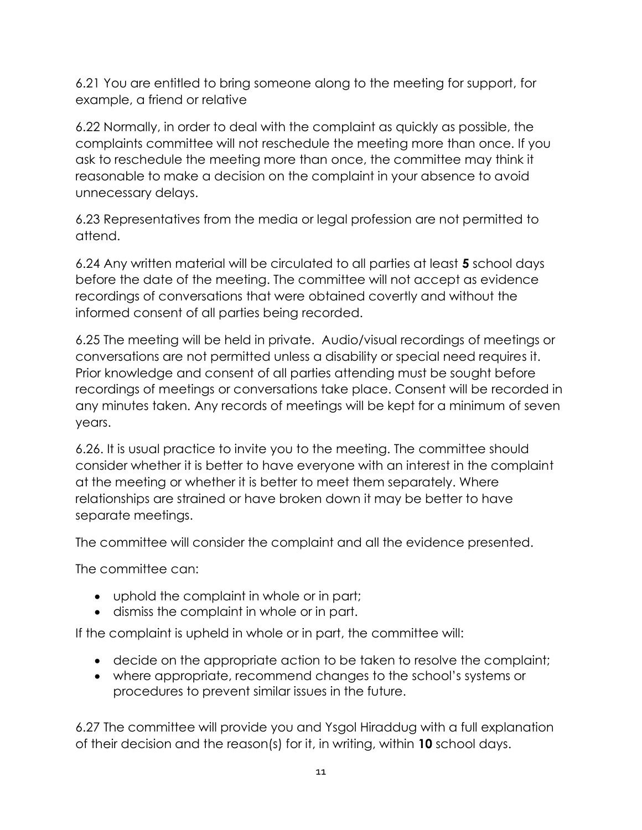6.21 You are entitled to bring someone along to the meeting for support, for example, a friend or relative

6.22 Normally, in order to deal with the complaint as quickly as possible, the complaints committee will not reschedule the meeting more than once. If you ask to reschedule the meeting more than once, the committee may think it reasonable to make a decision on the complaint in your absence to avoid unnecessary delays.

6.23 Representatives from the media or legal profession are not permitted to attend.

6.24 Any written material will be circulated to all parties at least **5** school days before the date of the meeting. The committee will not accept as evidence recordings of conversations that were obtained covertly and without the informed consent of all parties being recorded.

6.25 The meeting will be held in private. Audio/visual recordings of meetings or conversations are not permitted unless a disability or special need requires it. Prior knowledge and consent of all parties attending must be sought before recordings of meetings or conversations take place. Consent will be recorded in any minutes taken. Any records of meetings will be kept for a minimum of seven years.

6.26. It is usual practice to invite you to the meeting. The committee should consider whether it is better to have everyone with an interest in the complaint at the meeting or whether it is better to meet them separately. Where relationships are strained or have broken down it may be better to have separate meetings.

The committee will consider the complaint and all the evidence presented.

The committee can:

- uphold the complaint in whole or in part;
- dismiss the complaint in whole or in part.

If the complaint is upheld in whole or in part, the committee will:

- decide on the appropriate action to be taken to resolve the complaint;
- where appropriate, recommend changes to the school's systems or procedures to prevent similar issues in the future.

6.27 The committee will provide you and Ysgol Hiraddug with a full explanation of their decision and the reason(s) for it, in writing, within **10** school days.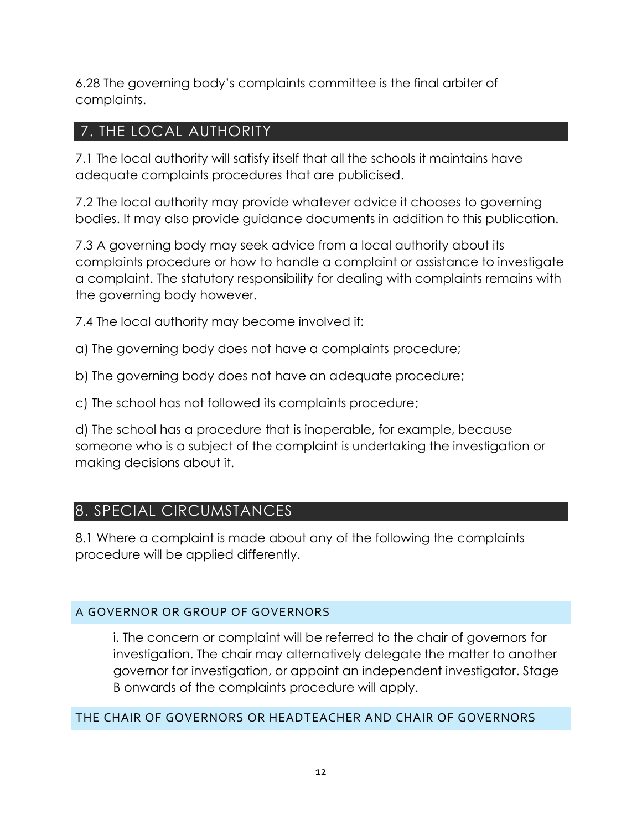6.28 The governing body's complaints committee is the final arbiter of complaints.

#### 7. THE LOCAL AUTHORITY

7.1 The local authority will satisfy itself that all the schools it maintains have adequate complaints procedures that are publicised.

7.2 The local authority may provide whatever advice it chooses to governing bodies. It may also provide guidance documents in addition to this publication.

7.3 A governing body may seek advice from a local authority about its complaints procedure or how to handle a complaint or assistance to investigate a complaint. The statutory responsibility for dealing with complaints remains with the governing body however.

7.4 The local authority may become involved if:

- a) The governing body does not have a complaints procedure;
- b) The governing body does not have an adequate procedure;

c) The school has not followed its complaints procedure;

d) The school has a procedure that is inoperable, for example, because someone who is a subject of the complaint is undertaking the investigation or making decisions about it.

#### <span id="page-11-0"></span>8. SPECIAL CIRCUMSTANCES

8.1 Where a complaint is made about any of the following the complaints procedure will be applied differently.

#### A GOVERNOR OR GROUP OF GOVERNORS

i. The concern or complaint will be referred to the chair of governors for investigation. The chair may alternatively delegate the matter to another governor for investigation, or appoint an independent investigator. Stage B onwards of the complaints procedure will apply.

#### THE CHAIR OF GOVERNORS OR HEADTEACHER AND CHAIR OF GOVERNORS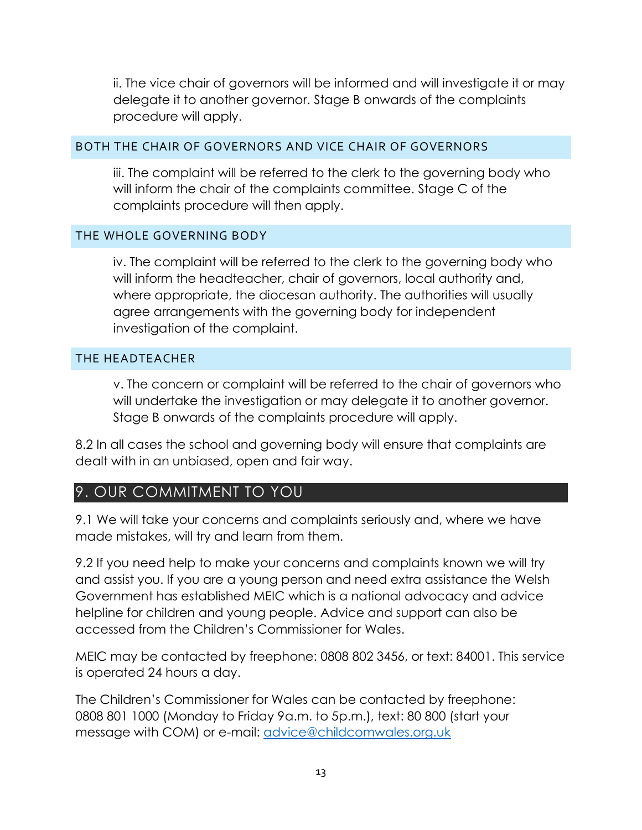ii. The vice chair of governors will be informed and will investigate it or may delegate it to another governor. Stage B onwards of the complaints procedure will apply.

#### BOTH THE CHAIR OF GOVERNORS AND VICE CHAIR OF GOVERNORS

iii. The complaint will be referred to the clerk to the governing body who will inform the chair of the complaints committee. Stage C of the complaints procedure will then apply.

#### THE WHOLE GOVERNING BODY

iv. The complaint will be referred to the clerk to the governing body who will inform the headteacher, chair of governors, local authority and, where appropriate, the diocesan authority. The authorities will usually agree arrangements with the governing body for independent investigation of the complaint.

#### THE HEADTEACHER

v. The concern or complaint will be referred to the chair of governors who will undertake the investigation or may delegate it to another governor. Stage B onwards of the complaints procedure will apply.

8.2 In all cases the school and governing body will ensure that complaints are dealt with in an unbiased, open and fair way.

#### 9. OUR COMMITMENT TO YOU

9.1 We will take your concerns and complaints seriously and, where we have made mistakes, will try and learn from them.

9.2 If you need help to make your concerns and complaints known we will try and assist you. If you are a young person and need extra assistance the Welsh Government has established MEIC which is a national advocacy and advice helpline for children and young people. Advice and support can also be accessed from the Children's Commissioner for Wales.

MEIC may be contacted by freephone: 0808 802 3456, or text: 84001. This service is operated 24 hours a day.

The Children's Commissioner for Wales can be contacted by freephone: 0808 801 1000 (Monday to Friday 9a.m. to 5p.m.), text: 80 800 (start your message with COM) or e-mail: [advice@childcomwales.org.uk](mailto:advice@childcomwales.org.uk)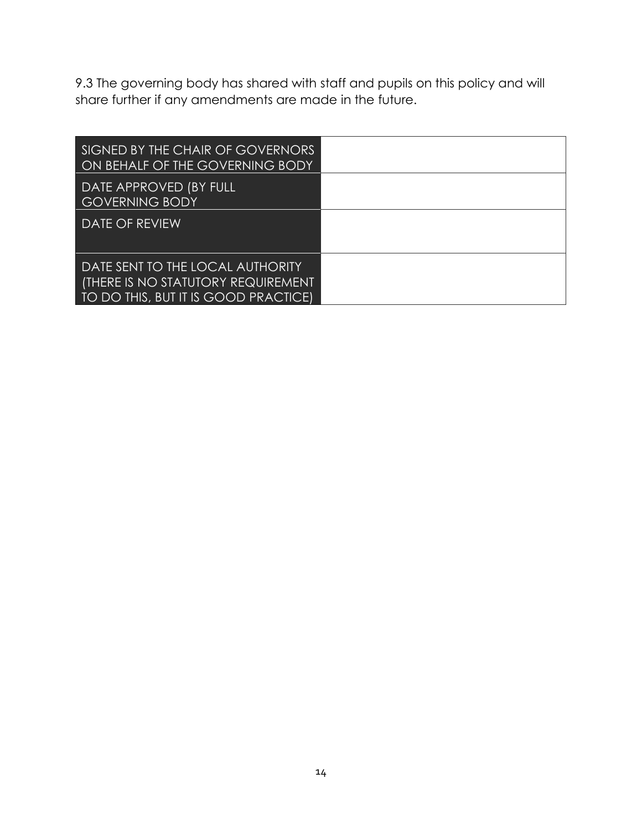9.3 The governing body has shared with staff and pupils on this policy and will share further if any amendments are made in the future.

| SIGNED BY THE CHAIR OF GOVERNORS<br>ON BEHALF OF THE GOVERNING BODY                                            |  |
|----------------------------------------------------------------------------------------------------------------|--|
| DATE APPROVED (BY FULL<br><b>GOVERNING BODY</b>                                                                |  |
| <b>DATE OF REVIEW</b>                                                                                          |  |
| DATE SENT TO THE LOCAL AUTHORITY<br>(THERE IS NO STATUTORY REQUIREMENT<br>TO DO THIS, BUT IT IS GOOD PRACTICE) |  |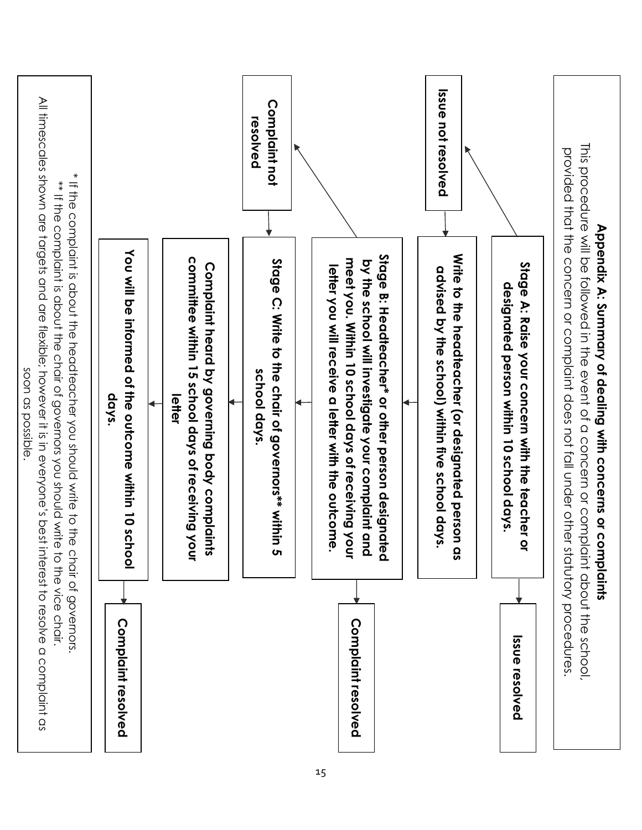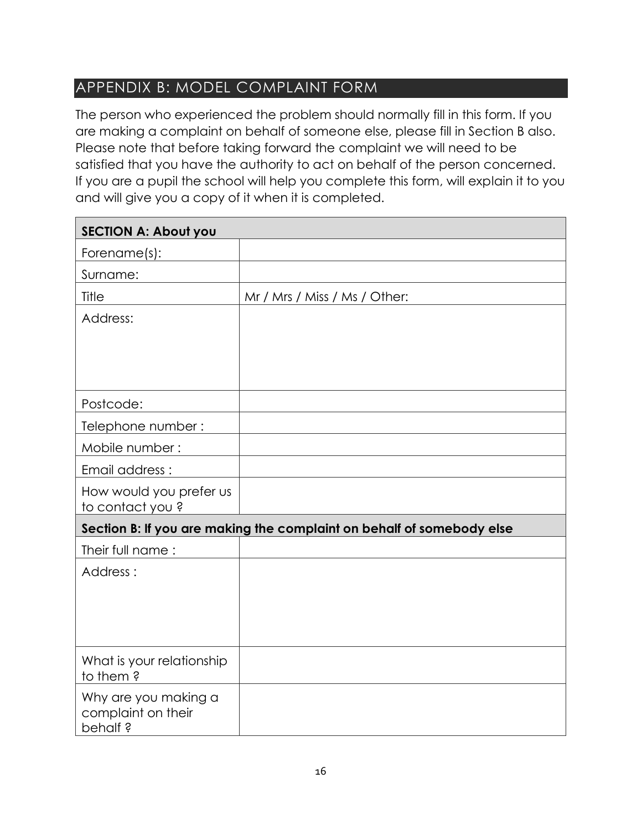#### APPENDIX B: MODEL COMPLAINT FORM

The person who experienced the problem should normally fill in this form. If you are making a complaint on behalf of someone else, please fill in Section B also. Please note that before taking forward the complaint we will need to be satisfied that you have the authority to act on behalf of the person concerned. If you are a pupil the school will help you complete this form, will explain it to you and will give you a copy of it when it is completed.

| <b>SECTION A: About you</b>                           |                                                                       |  |  |
|-------------------------------------------------------|-----------------------------------------------------------------------|--|--|
| Forename(s):                                          |                                                                       |  |  |
| Surname:                                              |                                                                       |  |  |
| Title                                                 | Mr / Mrs / Miss / Ms / Other:                                         |  |  |
| Address:                                              |                                                                       |  |  |
|                                                       |                                                                       |  |  |
|                                                       |                                                                       |  |  |
|                                                       |                                                                       |  |  |
| Postcode:                                             |                                                                       |  |  |
| Telephone number:                                     |                                                                       |  |  |
| Mobile number:                                        |                                                                       |  |  |
| Email address :                                       |                                                                       |  |  |
| How would you prefer us<br>to contact you?            |                                                                       |  |  |
|                                                       | Section B: If you are making the complaint on behalf of somebody else |  |  |
| Their full name:                                      |                                                                       |  |  |
| Address:                                              |                                                                       |  |  |
|                                                       |                                                                       |  |  |
|                                                       |                                                                       |  |  |
|                                                       |                                                                       |  |  |
| What is your relationship<br>to them?                 |                                                                       |  |  |
| Why are you making a<br>complaint on their<br>behalf? |                                                                       |  |  |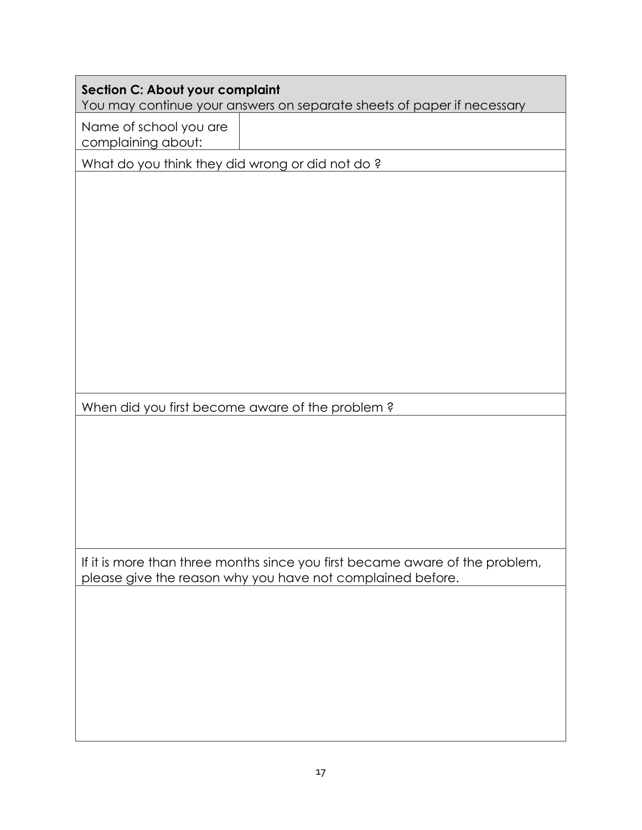| <b>Section C: About your complaint</b>          | You may continue your answers on separate sheets of paper if necessary                                                                     |
|-------------------------------------------------|--------------------------------------------------------------------------------------------------------------------------------------------|
| Name of school you are<br>complaining about:    |                                                                                                                                            |
| What do you think they did wrong or did not do? |                                                                                                                                            |
|                                                 |                                                                                                                                            |
| When did you first become aware of the problem? |                                                                                                                                            |
|                                                 |                                                                                                                                            |
|                                                 | If it is more than three months since you first became aware of the problem,<br>please give the reason why you have not complained before. |
|                                                 |                                                                                                                                            |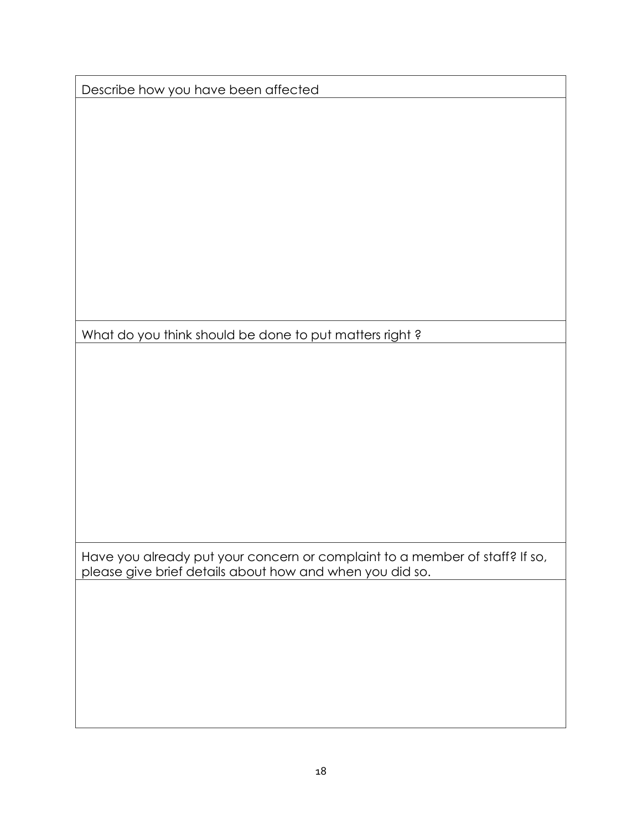|  |  | Describe how you have been affected |
|--|--|-------------------------------------|
|  |  |                                     |

What do you think should be done to put matters right?

Have you already put your concern or complaint to a member of staff? If so, please give brief details about how and when you did so.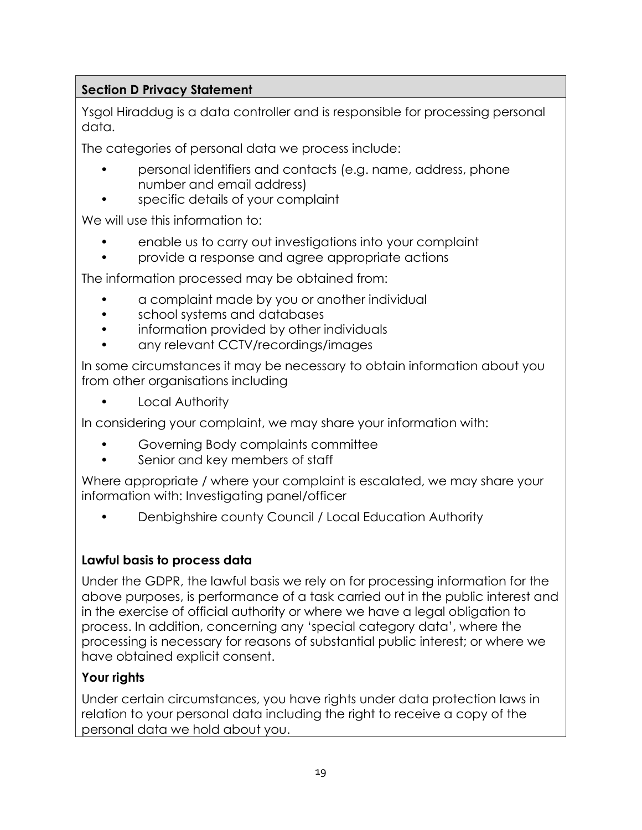#### **Section D Privacy Statement**

Ysgol Hiraddug is a data controller and is responsible for processing personal data.

The categories of personal data we process include:

- personal identifiers and contacts (e.g. name, address, phone number and email address)
- specific details of your complaint

We will use this information to:

- enable us to carry out investigations into your complaint
- provide a response and agree appropriate actions

The information processed may be obtained from:

- a complaint made by you or another individual
- school systems and databases
- information provided by other individuals
- any relevant CCTV/recordings/images

In some circumstances it may be necessary to obtain information about you from other organisations including

• Local Authority

In considering your complaint, we may share your information with:

- Governing Body complaints committee
- Senior and key members of staff

Where appropriate / where your complaint is escalated, we may share your information with: Investigating panel/officer

• Denbighshire county Council / Local Education Authority

#### **Lawful basis to process data**

Under the GDPR, the lawful basis we rely on for processing information for the above purposes, is performance of a task carried out in the public interest and in the exercise of official authority or where we have a legal obligation to process. In addition, concerning any 'special category data', where the processing is necessary for reasons of substantial public interest; or where we have obtained explicit consent.

#### **Your rights**

Under certain circumstances, you have rights under data protection laws in relation to your personal data including the right to receive a copy of the personal data we hold about you.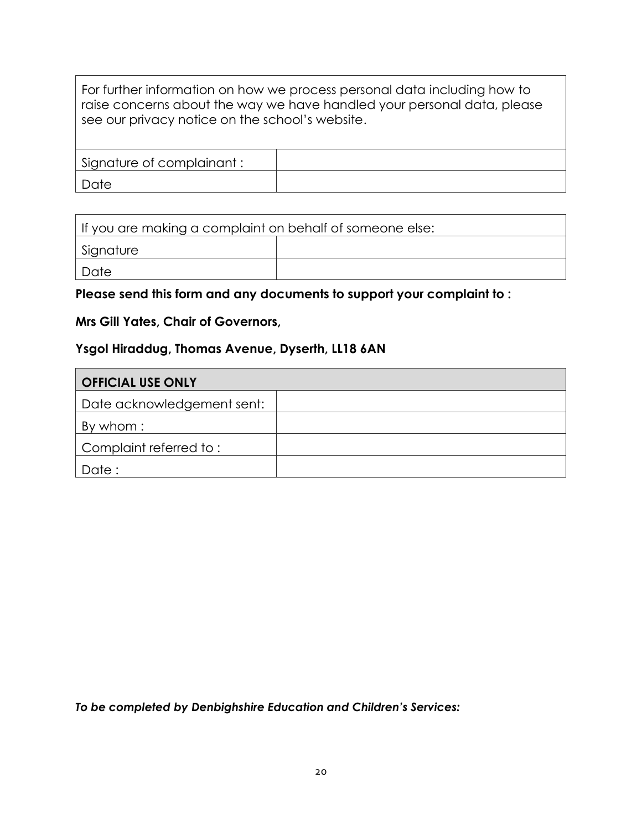For further information on how we process personal data including how to raise concerns about the way we have handled your personal data, please see our privacy notice on the school's website.

| Signature of complainant: |  |
|---------------------------|--|
| Date                      |  |

| If you are making a complaint on behalf of someone else: |  |  |
|----------------------------------------------------------|--|--|
| Signature                                                |  |  |
| Date                                                     |  |  |

#### **Please send this form and any documents to support your complaint to :**

#### **Mrs Gill Yates, Chair of Governors,**

#### **Ysgol Hiraddug, Thomas Avenue, Dyserth, LL18 6AN**

| <b>OFFICIAL USE ONLY</b>   |  |
|----------------------------|--|
| Date acknowledgement sent: |  |
| By whom:                   |  |
| Complaint referred to:     |  |
| Date:                      |  |

*To be completed by Denbighshire Education and Children's Services:*